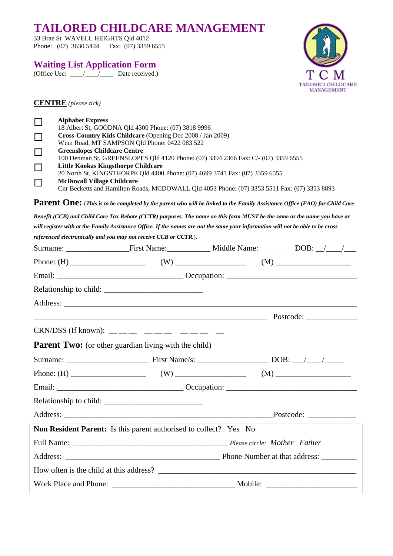# **TAILORED CHILDCARE MANAGEMENT**

33 Brae St WAVELL HEIGHTS Qld 4012 Phone: (07) 3630 5444 Fax: (07) 3359 6555

### **Waiting List Application Form**

(Office Use:  $\frac{1}{\sqrt{2}}$  Date received.)



**CENTRE** *(please tick)*

|          | <b>Alphabet Express</b>                                                                      |
|----------|----------------------------------------------------------------------------------------------|
|          | 18 Albert St, GOODNA Qld 4300 Phone: (07) 3818 9996                                          |
| ப        | Cross-Country Kids Childcare (Opening Dec 2008 / Jan 2009)                                   |
|          | Winn Road, MT SAMPSON Qld Phone: 0422 083 522                                                |
| ⊔        | <b>Greenslopes Childcare Centre</b>                                                          |
|          | 100 Denman St, GREENSLOPES Qld 4120 Phone: (07) 3394 2366 Fax: C/- (07) 3359 6555            |
| $\sqcup$ | <b>Little Kookas Kingsthorpe Childcare</b>                                                   |
|          | 20 North St, KINGSTHORPE Qld 4400 Phone: (07) 4699 3741 Fax: (07) 3359 6555                  |
|          | <b>McDowall Village Childcare</b>                                                            |
|          | Cnr Becketts and Hamilton Roads, MCDOWALL Qld 4053 Phone: (07) 3353 5511 Fax: (07) 3353 8893 |

**Parent One:** (*This is to be completed by the parent who will be linked to the Family Assistance Office (FAO) for Child Care* 

*Benefit (CCB) and Child Care Tax Rebate (CCTR) purposes. The name on this form MUST be the same as the name you have or will register with at the Family Assistance Office. If the names are not the same your information will not be able to be cross referenced electronically and you may not receive CCB or CCTR.*).

| CRN/DSS (If known): $\_\_\_\_\_\_\_\_\_\_\_\_\_\_\_\_\_\_\_ \_ \_ \_$    |  |                    |
|--------------------------------------------------------------------------|--|--------------------|
| <b>Parent Two:</b> (or other guardian living with the child)             |  |                    |
|                                                                          |  |                    |
|                                                                          |  |                    |
|                                                                          |  |                    |
|                                                                          |  |                    |
|                                                                          |  | $\text{Postcode:}$ |
| <b>Non Resident Parent:</b> Is this parent authorised to collect? Yes No |  |                    |
|                                                                          |  |                    |
|                                                                          |  |                    |
|                                                                          |  |                    |
|                                                                          |  |                    |